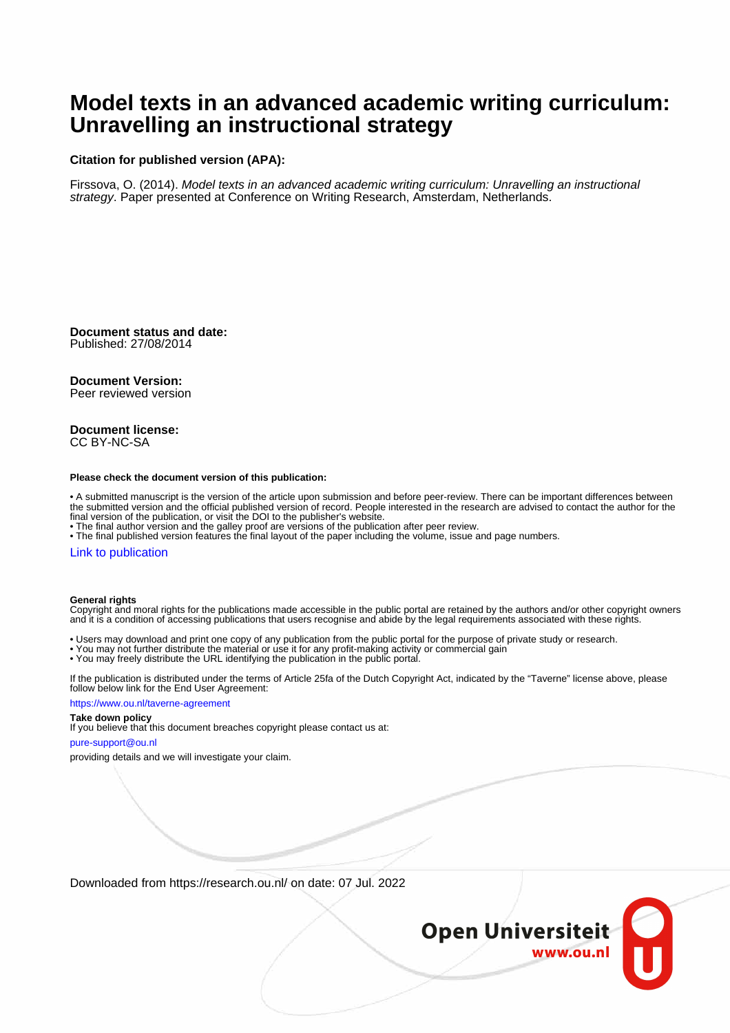## **Model texts in an advanced academic writing curriculum: Unravelling an instructional strategy**

#### **Citation for published version (APA):**

Firssova, O. (2014). Model texts in an advanced academic writing curriculum: Unravelling an instructional strategy. Paper presented at Conference on Writing Research, Amsterdam, Netherlands.

**Document status and date:** Published: 27/08/2014

#### **Document Version:**

Peer reviewed version

#### **Document license:** CC BY-NC-SA

#### **Please check the document version of this publication:**

• A submitted manuscript is the version of the article upon submission and before peer-review. There can be important differences between the submitted version and the official published version of record. People interested in the research are advised to contact the author for the final version of the publication, or visit the DOI to the publisher's website.

• The final author version and the galley proof are versions of the publication after peer review.

• The final published version features the final layout of the paper including the volume, issue and page numbers.

#### [Link to publication](https://research.ou.nl/en/publications/5aaf64f1-1fdc-417b-aec0-582ac76f1720)

#### **General rights**

Copyright and moral rights for the publications made accessible in the public portal are retained by the authors and/or other copyright owners and it is a condition of accessing publications that users recognise and abide by the legal requirements associated with these rights.

- Users may download and print one copy of any publication from the public portal for the purpose of private study or research.
- You may not further distribute the material or use it for any profit-making activity or commercial gain
- You may freely distribute the URL identifying the publication in the public portal.

If the publication is distributed under the terms of Article 25fa of the Dutch Copyright Act, indicated by the "Taverne" license above, please follow below link for the End User Agreement:

#### https://www.ou.nl/taverne-agreement

### **Take down policy**

If you believe that this document breaches copyright please contact us at:

#### pure-support@ou.nl

providing details and we will investigate your claim.

Downloaded from https://research.ou.nl/ on date: 07 Jul. 2022

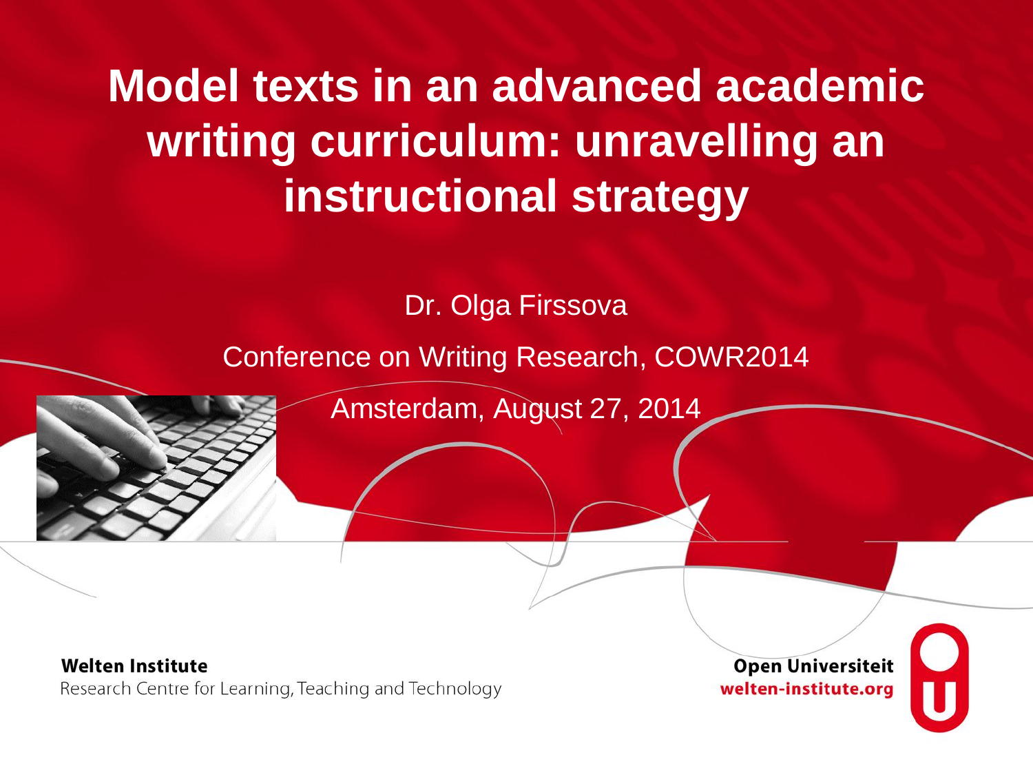# **Model texts in an advanced academic writing curriculum: unravelling an instructional strategy**

Dr. Olga Firssova

Conference on Writing Research, COWR2014

Amsterdam, August 27, 2014

**Welten Institute** Research Centre for Learning, Teaching and Technology

**Open Universiteit** welten-institute.org

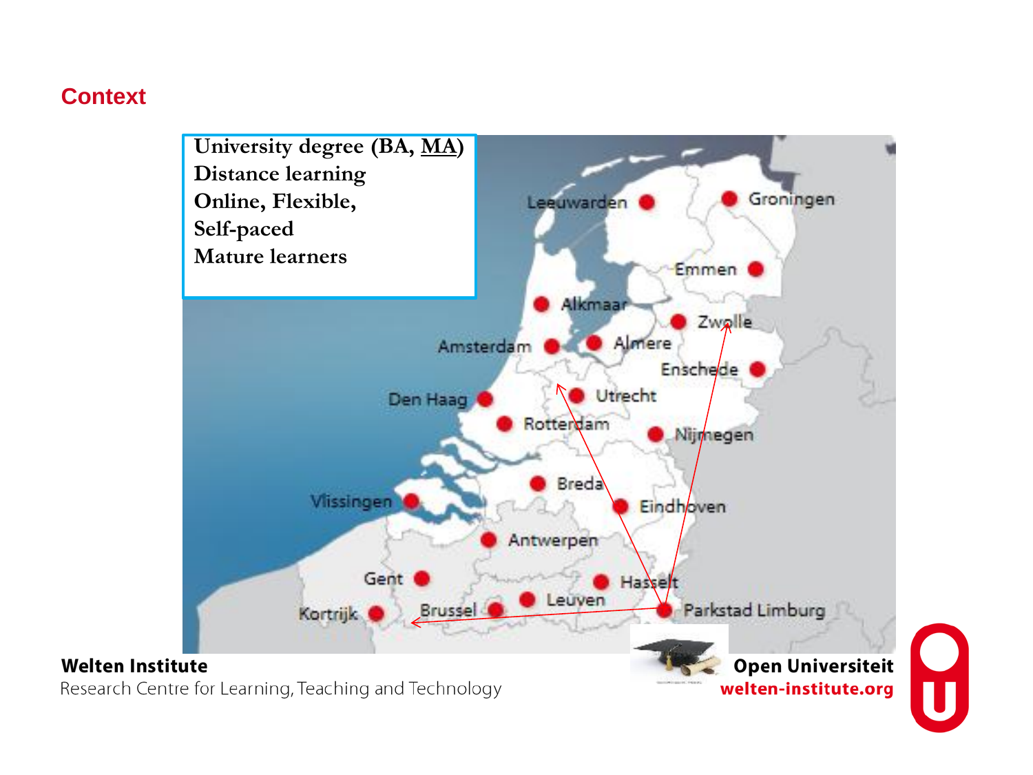### **Context**

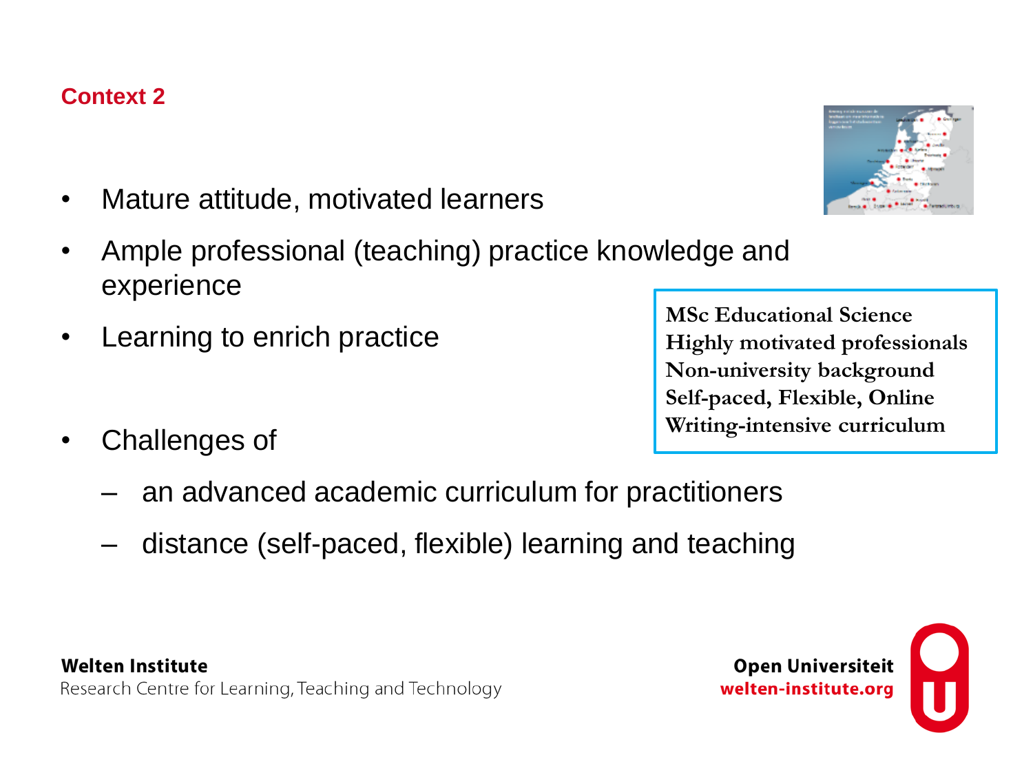### **Welten Institute** Research Centre for Learning, Teaching and Technology

# • Ample professional (teaching) practice knowledge and

• Mature attitude, motivated learners

- experience • Learning to enrich practice
- Challenges of

**Context 2**

- an advanced academic curriculum for practitioners
- distance (self-paced, flexible) learning and teaching

**MSc Educational Science Highly motivated professionals Non-university background Self-paced, Flexible, Online Writing-intensive curriculum**



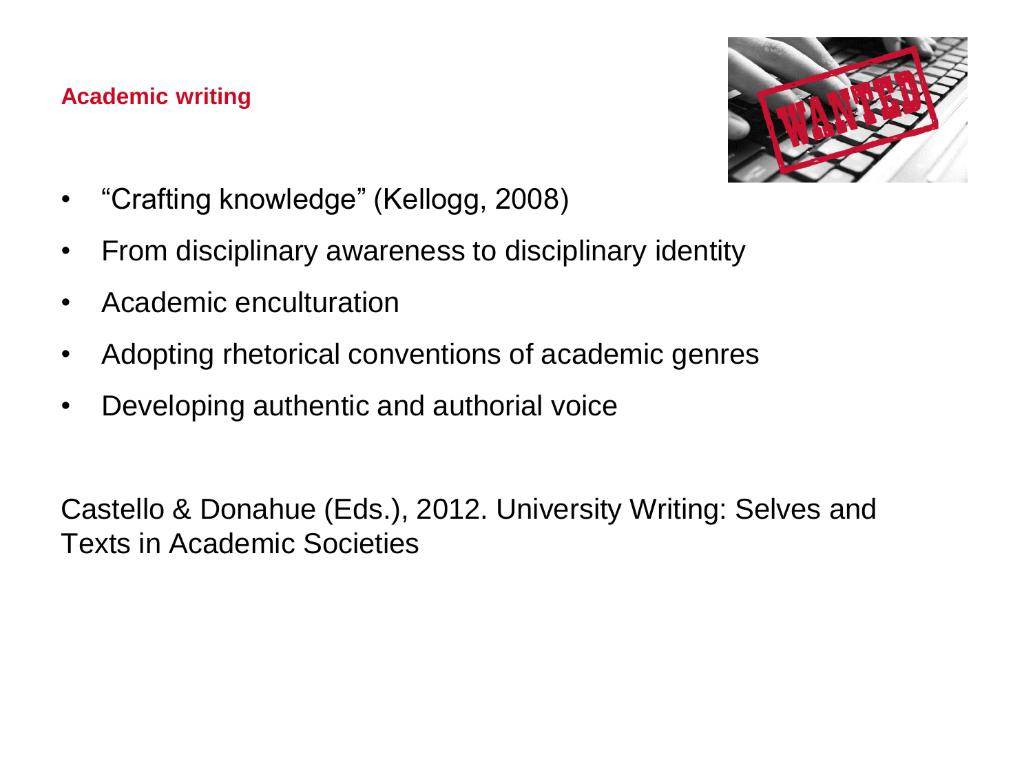## **Academic writing**



- "Crafting knowledge" (Kellogg, 2008)
- From disciplinary awareness to disciplinary identity
- Academic enculturation
- Adopting rhetorical conventions of academic genres
- Developing authentic and authorial voice

Castello & Donahue (Eds.), 2012. University Writing: Selves and Texts in Academic Societies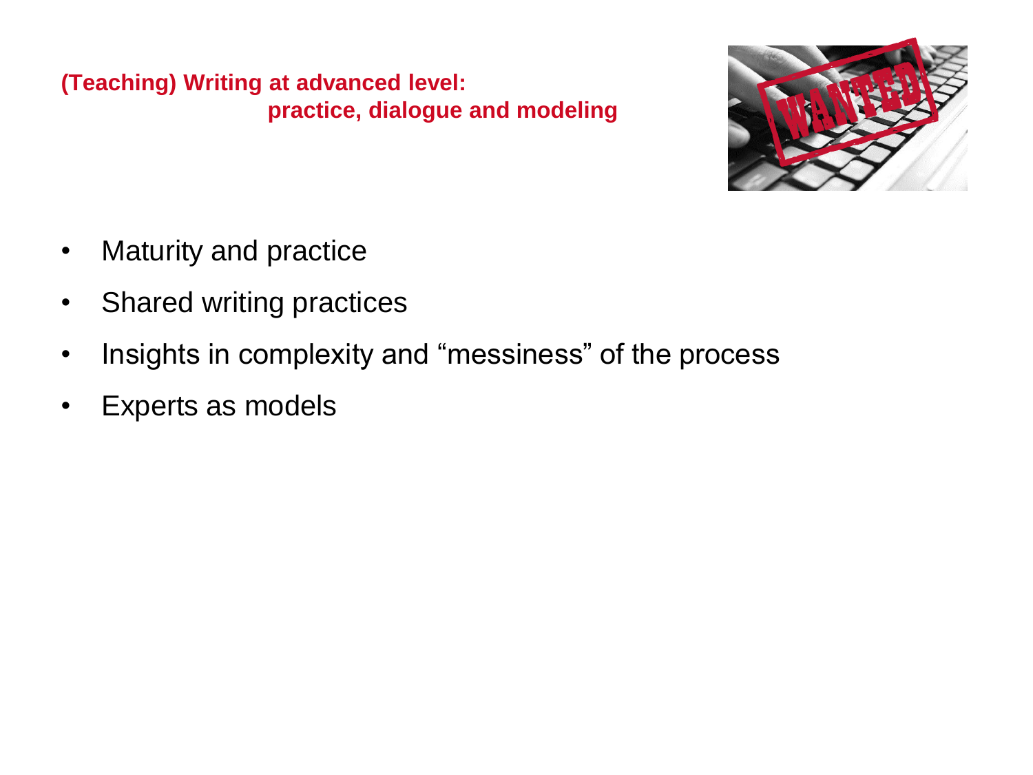**(Teaching) Writing at advanced level: practice, dialogue and modeling**



- Maturity and practice
- Shared writing practices
- Insights in complexity and "messiness" of the process
- Experts as models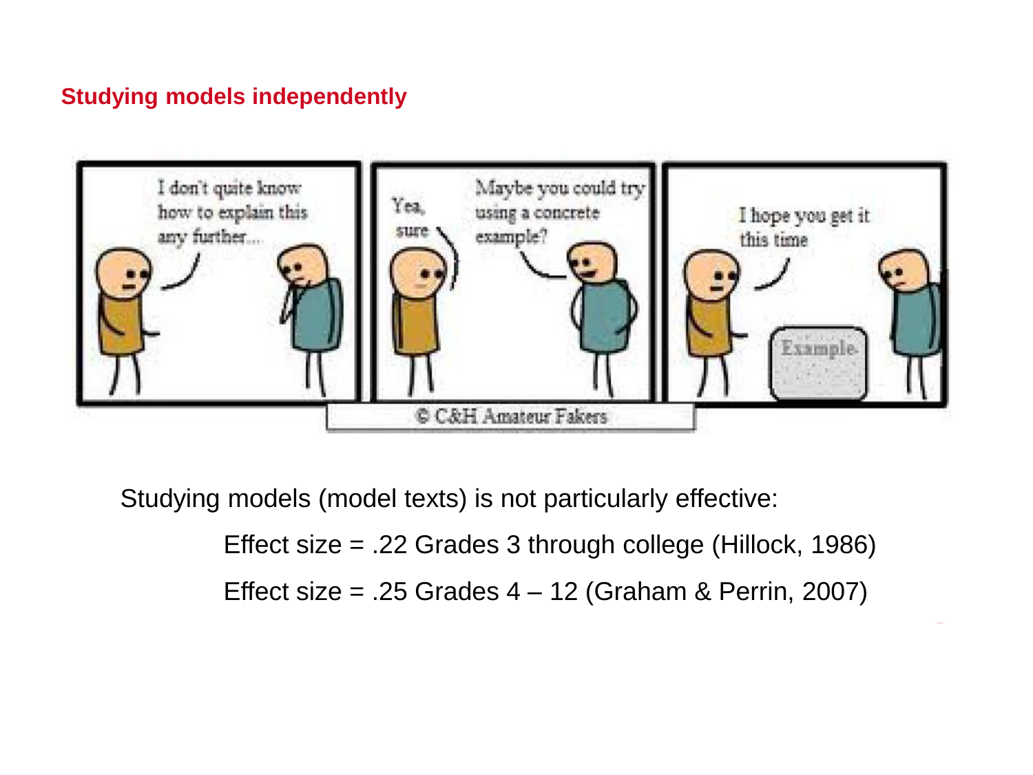## **Studying models independently**



Studying models (model texts) is not particularly effective:

Effect size = .22 Grades 3 through college (Hillock, 1986) Effect size = .25 Grades 4 – 12 (Graham & Perrin, 2007)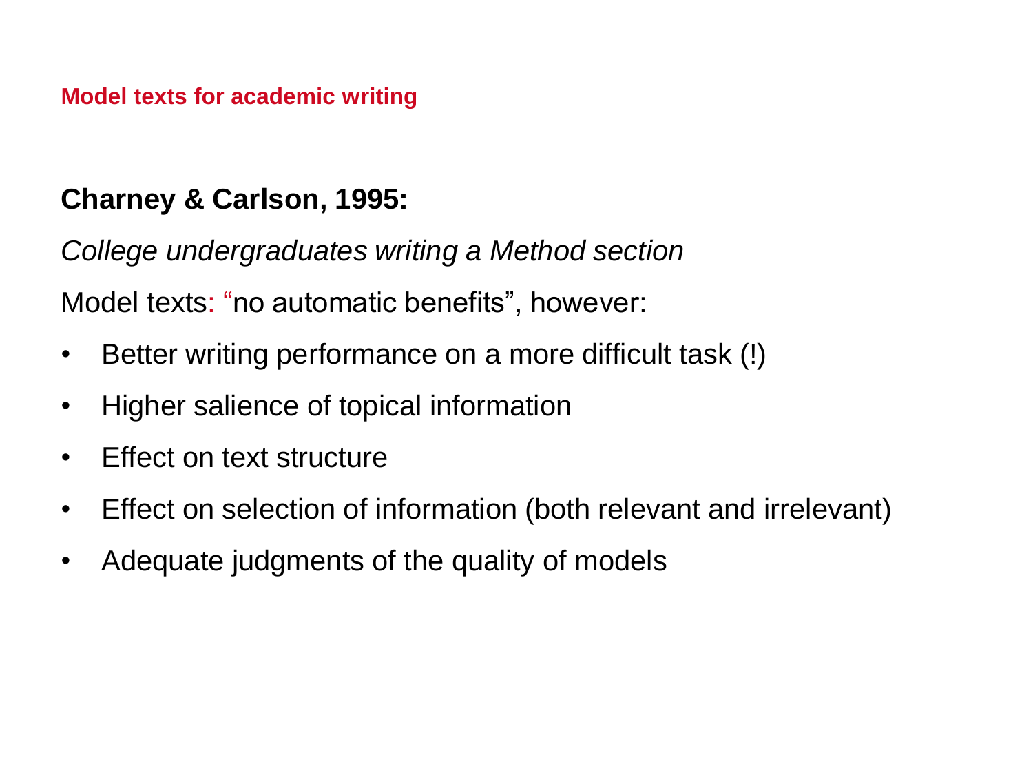### **Model texts for academic writing**

## **Charney & Carlson, 1995:**

*College undergraduates writing a Method section*

Model texts: "no automatic benefits", however:

- Better writing performance on a more difficult task (!)
- Higher salience of topical information
- Effect on text structure
- Effect on selection of information (both relevant and irrelevant)
- Adequate judgments of the quality of models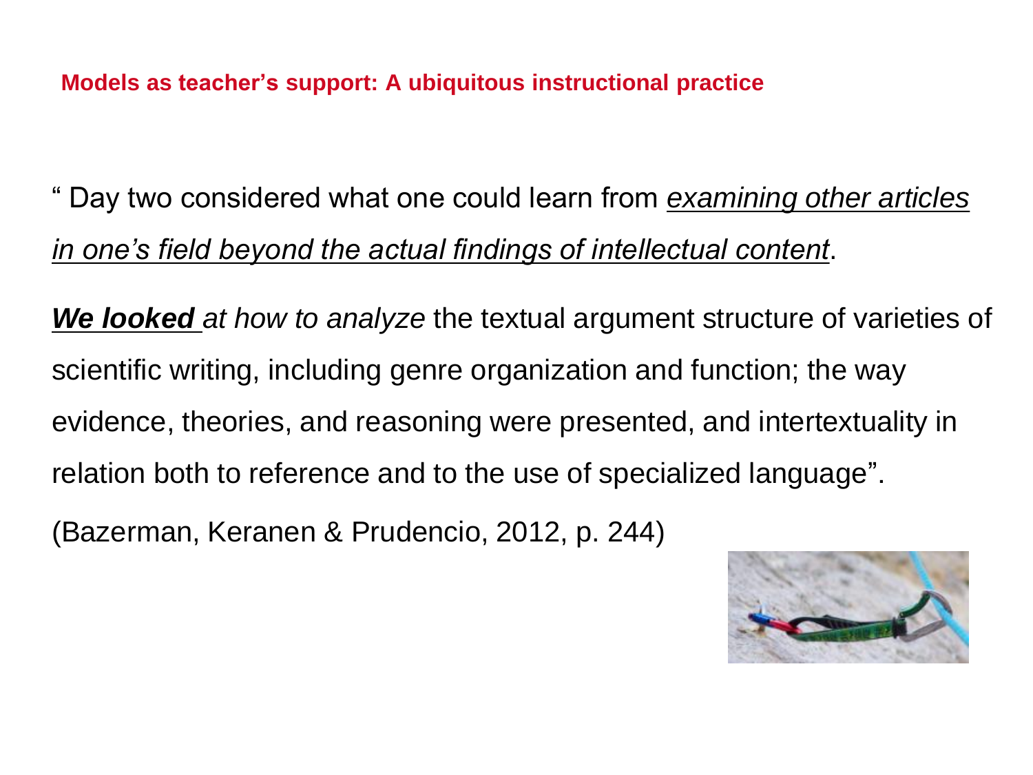**Models as teacher's support: A ubiquitous instructional practice** 

" Day two considered what one could learn from *examining other articles in one's field beyond the actual findings of intellectual content*.

*We looked at how to analyze* the textual argument structure of varieties of scientific writing, including genre organization and function; the way evidence, theories, and reasoning were presented, and intertextuality in relation both to reference and to the use of specialized language".

(Bazerman, Keranen & Prudencio, 2012, p. 244)

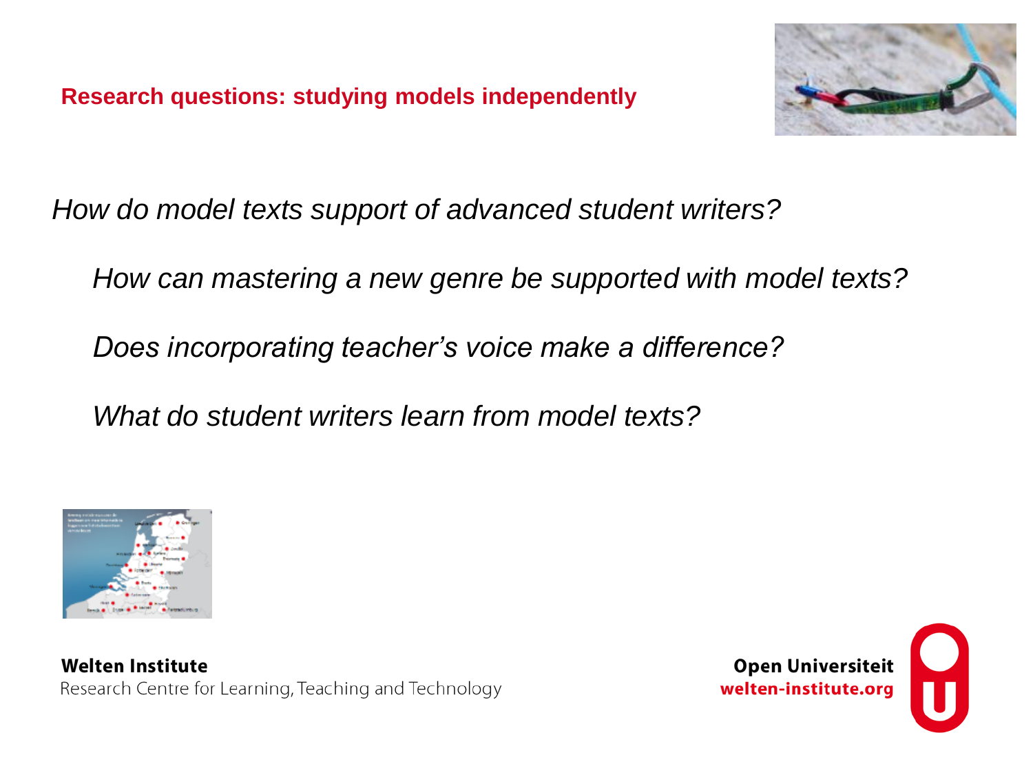**Research questions: studying models independently**



*How do model texts support of advanced student writers?* 

*How can mastering a new genre be supported with model texts?* 

*Does incorporating teacher's voice make a difference?*

*What do student writers learn from model texts?*



**Welten Institute** Research Centre for Learning, Teaching and Technology

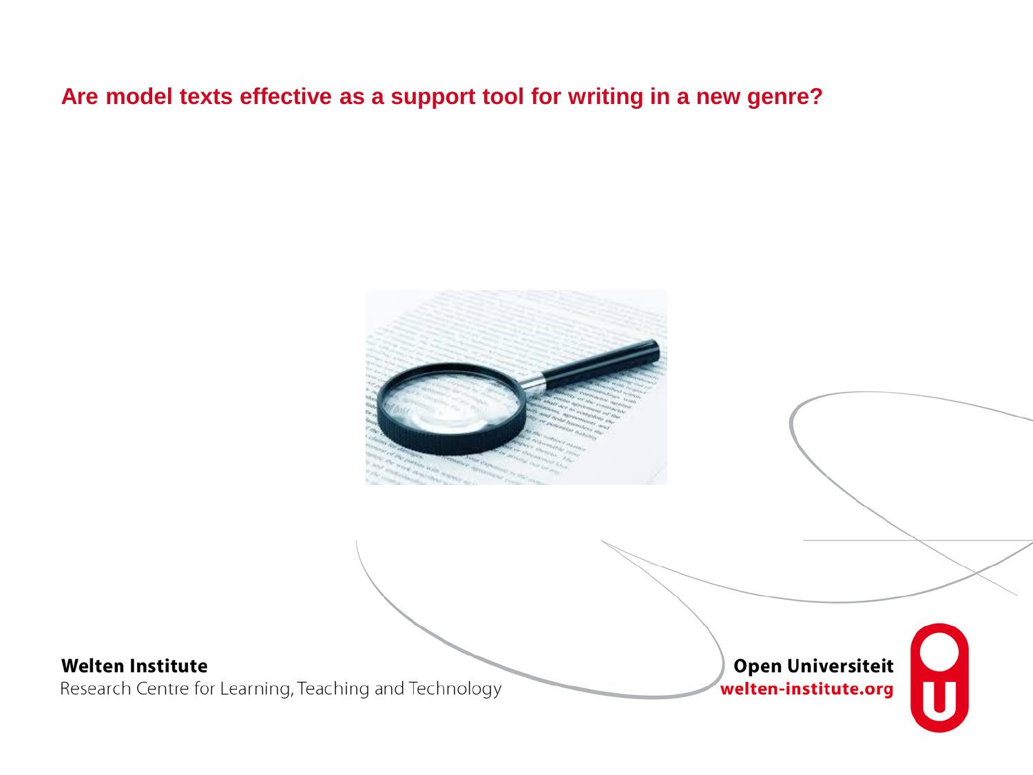## **Are model texts effective as a support tool for writing in a new genre?**

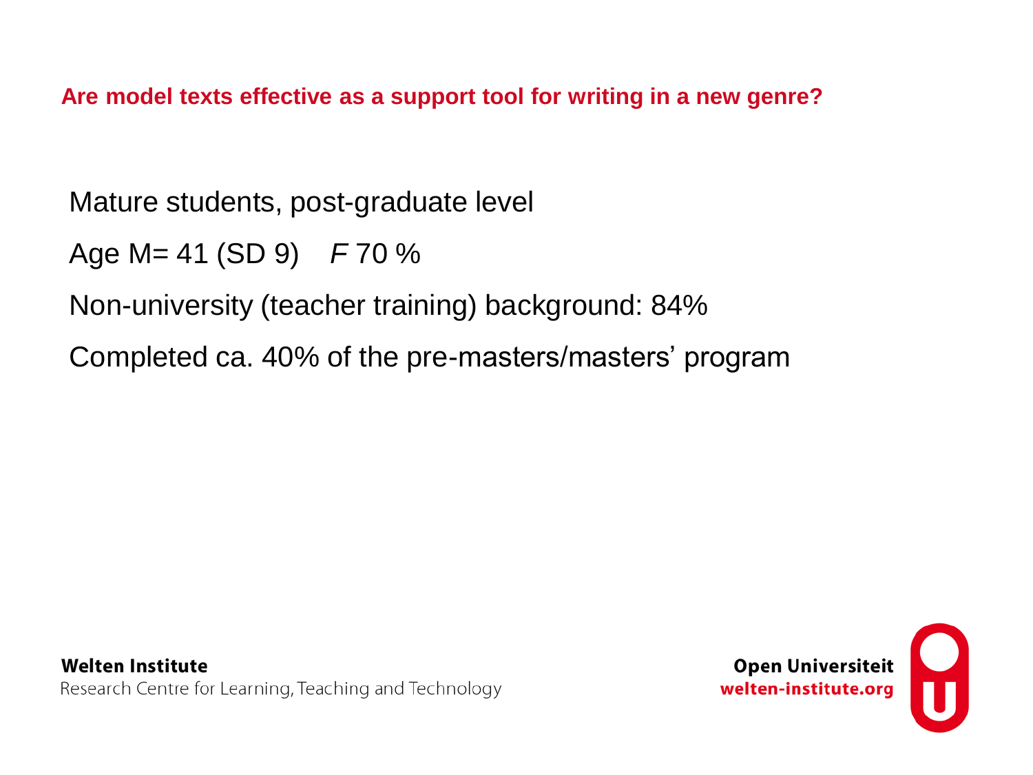**Are model texts effective as a support tool for writing in a new genre?** 

Mature students, post-graduate level

Age M= 41 (SD 9) *F* 70 %

Non-university (teacher training) background: 84%

Completed ca. 40% of the pre-masters/masters' program

**Welten Institute** Research Centre for Learning, Teaching and Technology

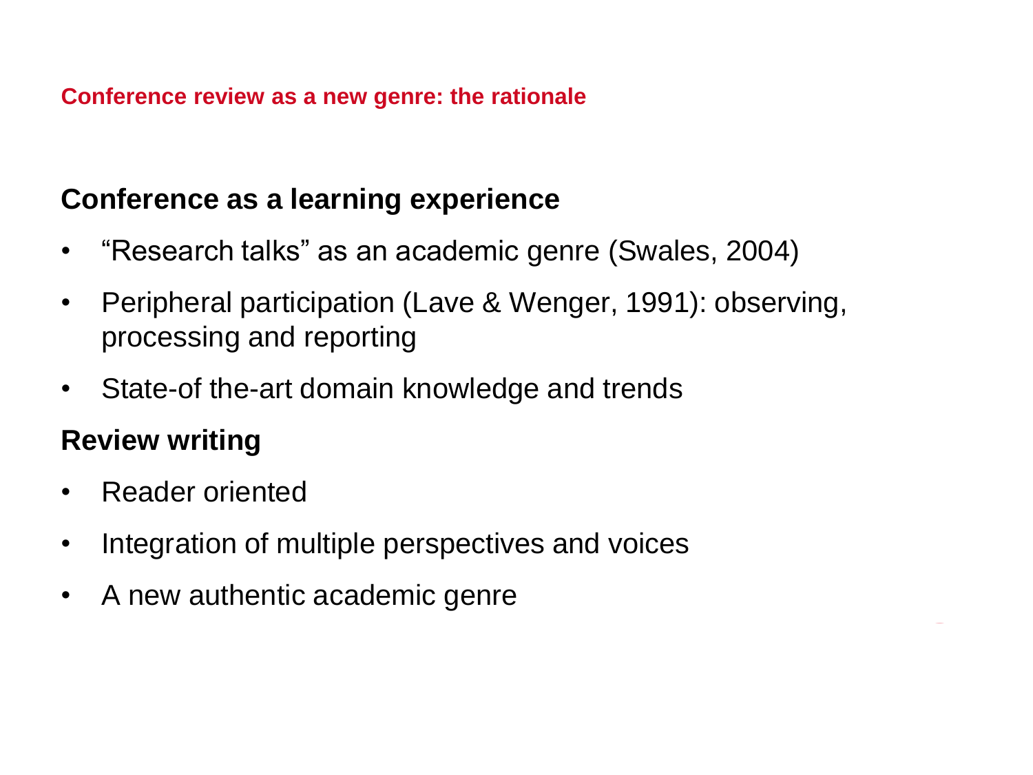**Conference review as a new genre: the rationale**

## **Conference as a learning experience**

- "Research talks" as an academic genre (Swales, 2004)
- Peripheral participation (Lave & Wenger, 1991): observing, processing and reporting
- State-of the-art domain knowledge and trends

## **Review writing**

- Reader oriented
- Integration of multiple perspectives and voices
- A new authentic academic genre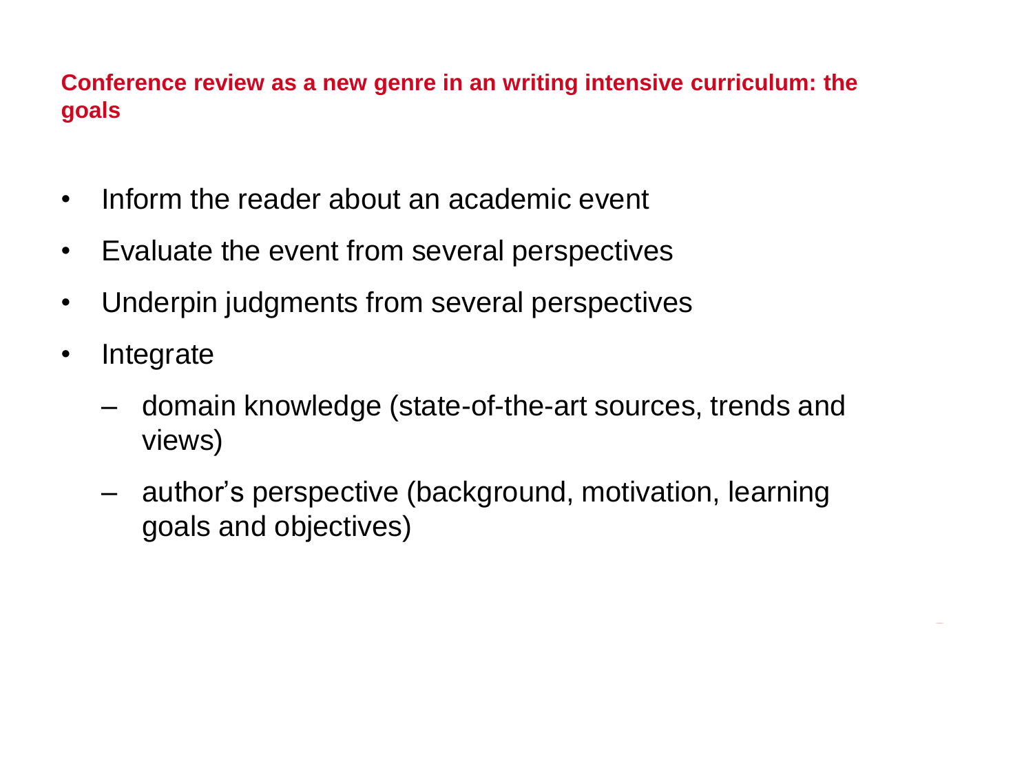## **Conference review as a new genre in an writing intensive curriculum: the goals**

- Inform the reader about an academic event
- Evaluate the event from several perspectives
- Underpin judgments from several perspectives
- Integrate
	- domain knowledge (state-of-the-art sources, trends and views)
	- author's perspective (background, motivation, learning goals and objectives)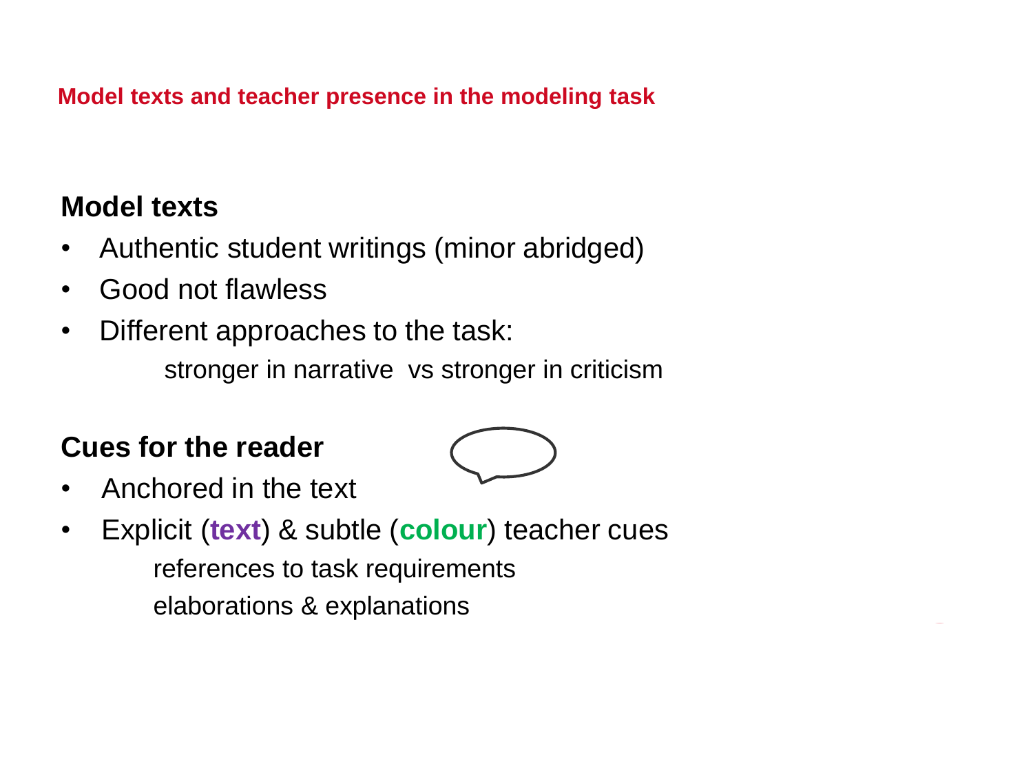## **Model texts and teacher presence in the modeling task**

## **Model texts**

- Authentic student writings (minor abridged)
- Good not flawless
- Different approaches to the task: stronger in narrative vs stronger in criticism

## **Cues for the reader**



- Anchored in the text
- Explicit (**text**) & subtle (**colour**) teacher cues references to task requirements elaborations & explanations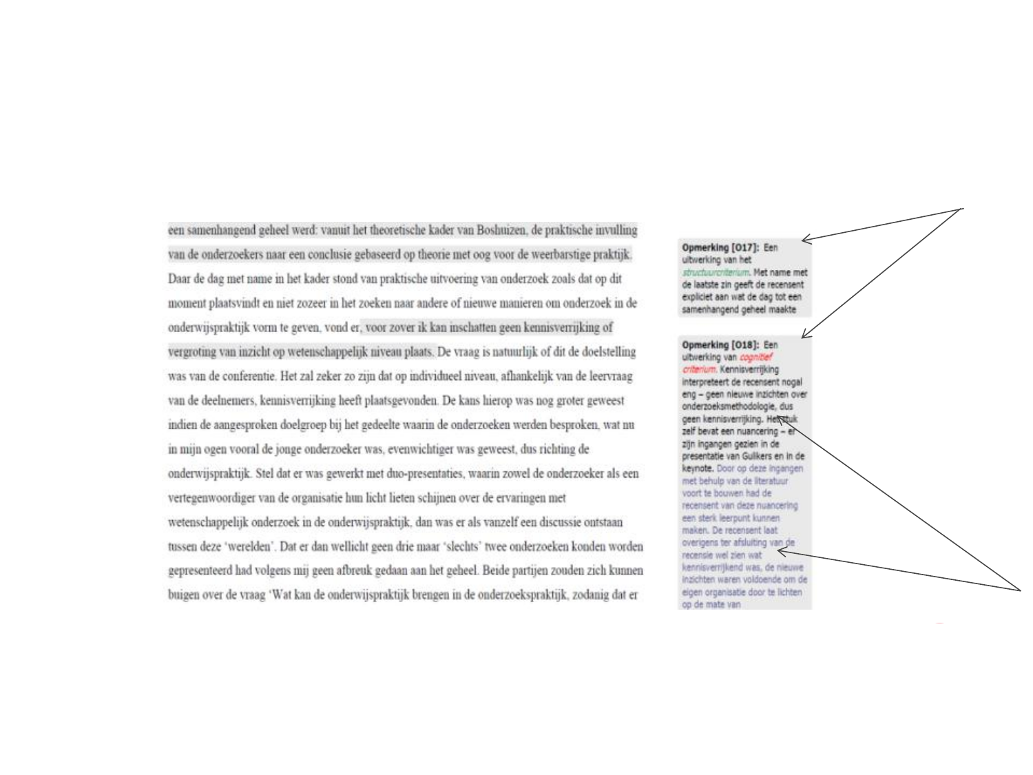een samenhangend geheel werd: vanuit het theoretische kader van Boshuizen, de praktische invulling van de onderzoekers naar een conclusie gebaseerd op theorie met oog voor de weerbarstige praktijk. Daar de dag met name in het kader stond van praktische uitvoering van onderzoek zoals dat op dit moment plaatsvindt en niet zozeer in het zoeken naar andere of nieuwe manieren om onderzoek in de onderwijspraktijk vorm te geven, vond er, voor zover ik kan inschatten geen kennisverrijking of vergroting van inzicht op wetenschappelijk niveau plaats. De vraag is natuurlijk of dit de doelstelling was van de conferentie. Het zal zeker zo zijn dat op individueel niveau, afhankelijk van de leervraag van de deelnemers, kennisverrijking heeft plaatsgevonden. De kans hierop was nog groter geweest indien de aangesproken doelgroep bij het gedeelte waarin de onderzoeken werden besproken, wat nu in mijn ogen vooral de jonge onderzoeker was, evenwichtiger was geweest, dus richting de onderwijspraktijk. Stel dat er was gewerkt met duo-presentaties, waarin zowel de onderzoeker als een vertegenwoordiger van de organisatie hun licht lieten schijnen over de ervaringen met wetenschappelijk onderzoek in de onderwijspraktijk, dan was er als vanzelf een discussie ontstaan tussen deze 'werelden'. Dat er dan wellicht geen drie maar 'slechts' twee onderzoeken konden worden gepresenteerd had volgens mij geen afbreuk gedaan aan het geheel. Beide partijen zouden zich kunnen buigen over de vraag 'Wat kan de onderwijspraktijk brengen in de onderzoekspraktijk, zodanig dat er

#### Opmerking [O17]: Een uitwerking van het structuurcriterium. Met name met de laatste zin geeft de recensent expliciet aan wat de dag tot een samenhangend geheel maakte

#### Opmerking [O18]: Een uitwerking van cognitier

criterium. Kennisverrijking interpreteert de recensent nogal eng - geen nieuwe inzichten over onderzoeksmethodologie, dus geen kennisverrijking. Het stuk zelf bevat een nuancering - er zijn ingangen gezien in de presentatie van Gulikers en in de keynote. Door op deze ingangen met behulp van de literatuur voort te bouwen had de recensent van deze nuancering een sterk leerpunt kunnen maken. De recensent laat overigens ter afsluiting van de recensie wel zien wat kennisverrijkend was, de nieuwe inzichten waren voldoende om de eigen organisatie door te lichten op de mate van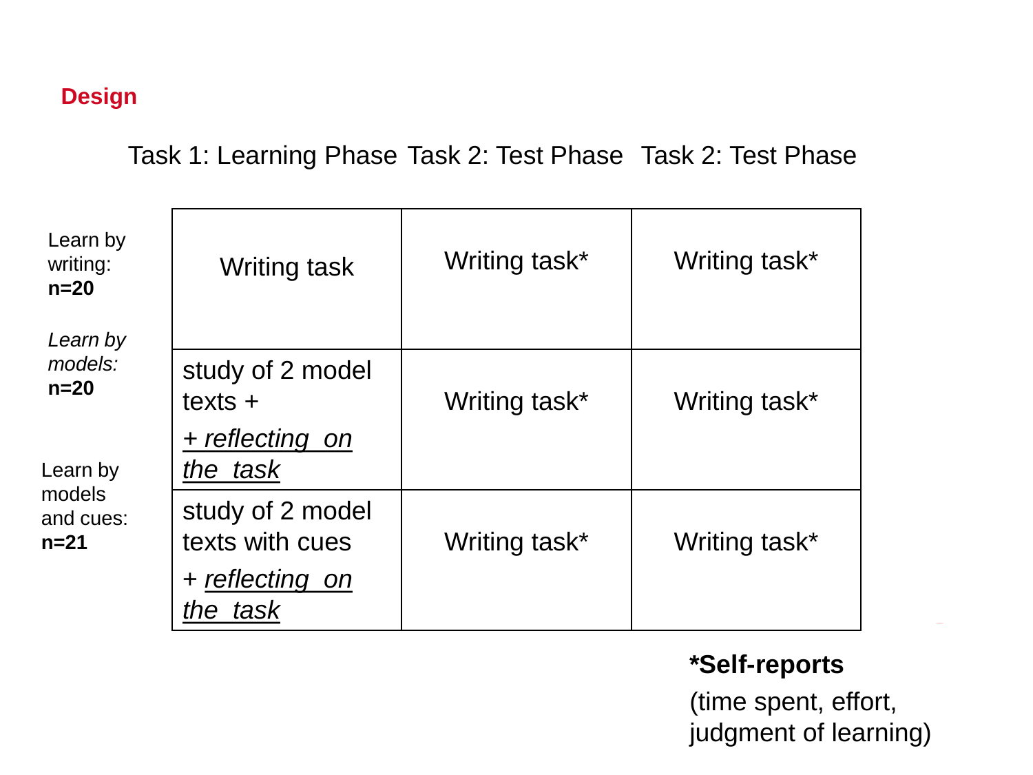## **Design**

## Task 1: Learning Phase Task 2: Test Phase Task 2: Test Phase

| Learn by<br>writing:<br>$n=20$              | Writing task                        | Writing task* | Writing task* |
|---------------------------------------------|-------------------------------------|---------------|---------------|
| Learn by<br>models:<br>$n=20$               | study of 2 model<br>texts $+$       | Writing task* | Writing task* |
| Learn by<br>models<br>and cues:<br>$n = 21$ | + reflecting on<br>the task         |               |               |
|                                             | study of 2 model<br>texts with cues | Writing task* | Writing task* |
|                                             | + reflecting on<br>the task         |               |               |

## **\*Self-reports**

(time spent, effort, judgment of learning)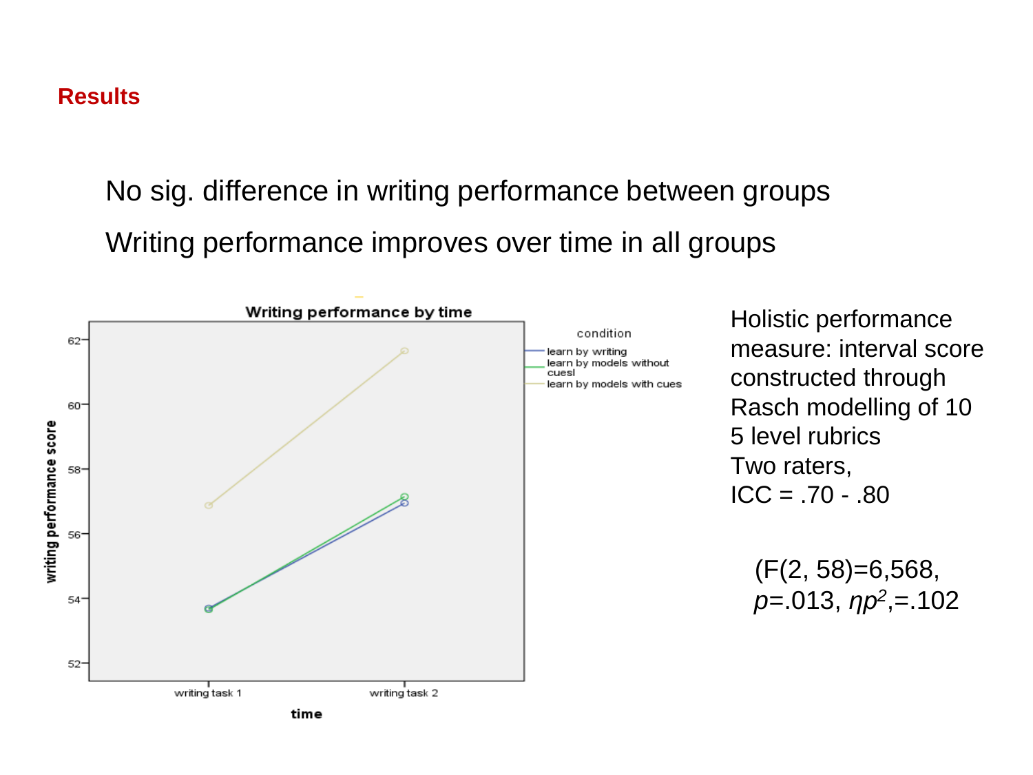No sig. difference in writing performance between groups Writing performance improves over time in all groups



Holistic performance measure: interval score constructed through Rasch modelling of 10 5 level rubrics Two raters,  $ICC = .70 - .80$ 

(F(2, 58)=6,568, *p*=.013, *ηp<sup>2</sup>* ,=.102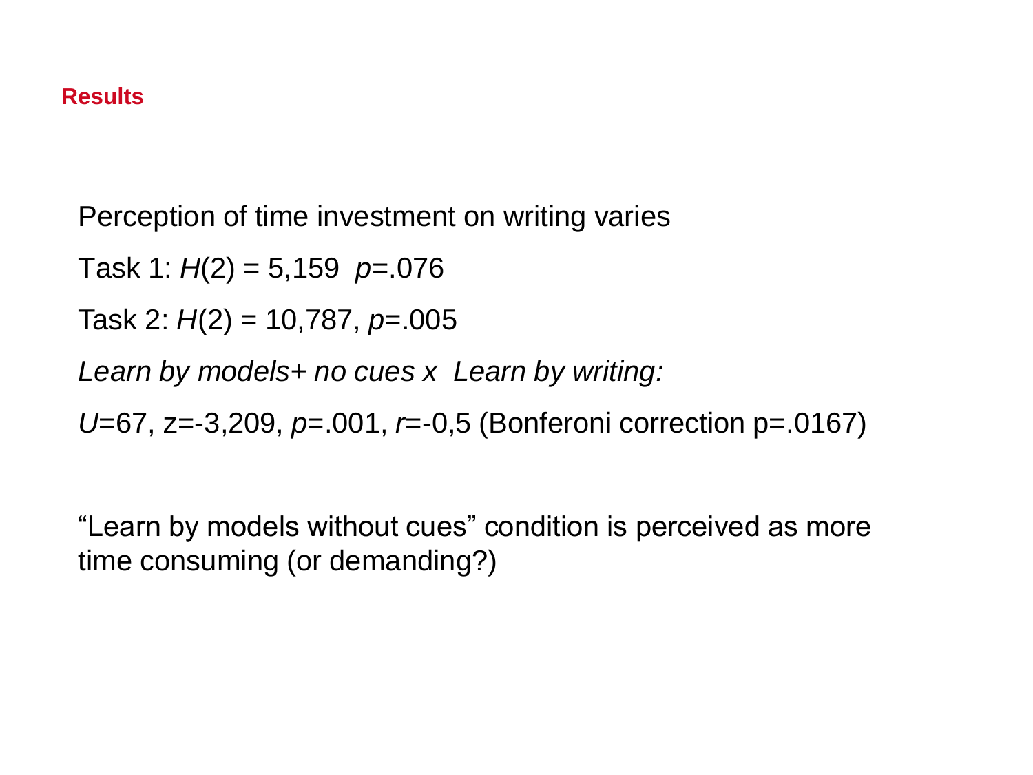Perception of time investment on writing varies

Task 1: *H*(2) = 5,159 *p*=.076

Task 2: *H*(2) = 10,787, *p*=.005

*Learn by models+ no cues x Learn by writing:*

*U*=67, z=-3,209, *p*=.001, *r*=-0,5 (Bonferoni correction p=.0167)

"Learn by models without cues" condition is perceived as more time consuming (or demanding?)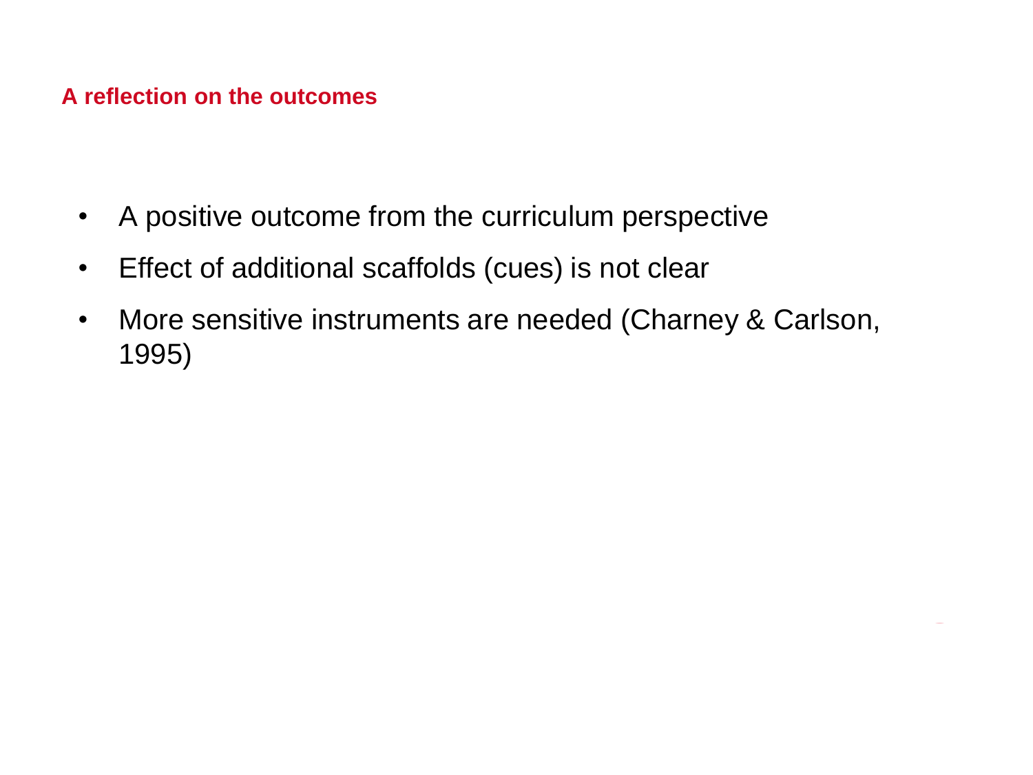### **A reflection on the outcomes**

- A positive outcome from the curriculum perspective
- Effect of additional scaffolds (cues) is not clear
- More sensitive instruments are needed (Charney & Carlson, 1995)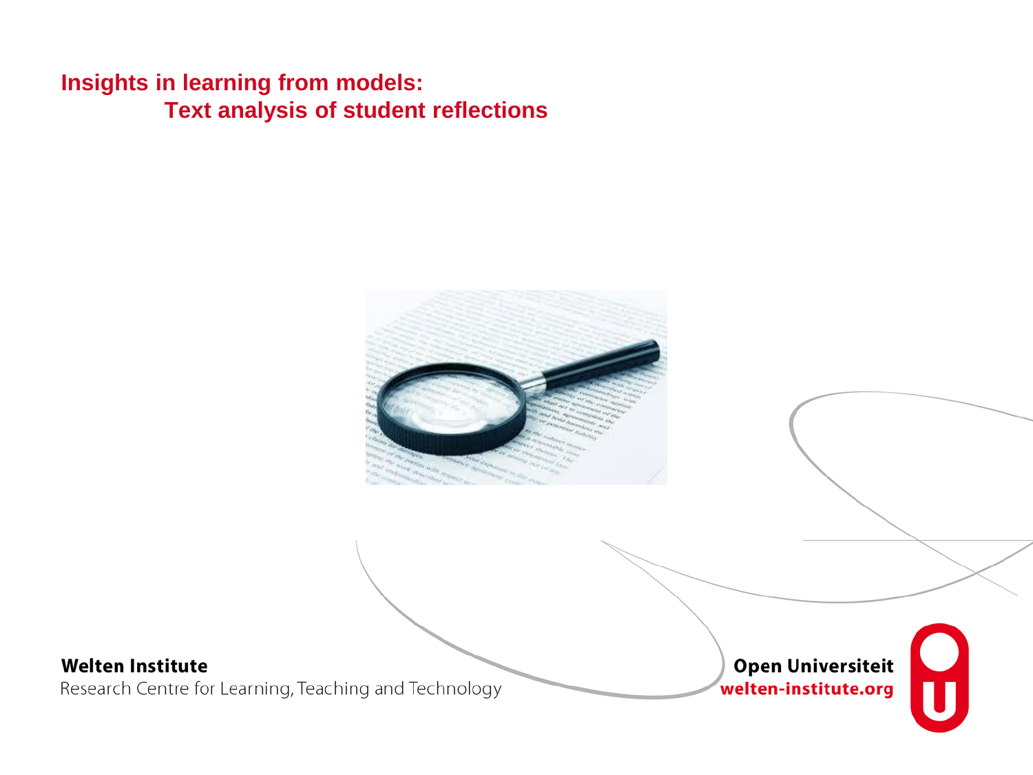## **Insights in learning from models: Text analysis of student reflections**

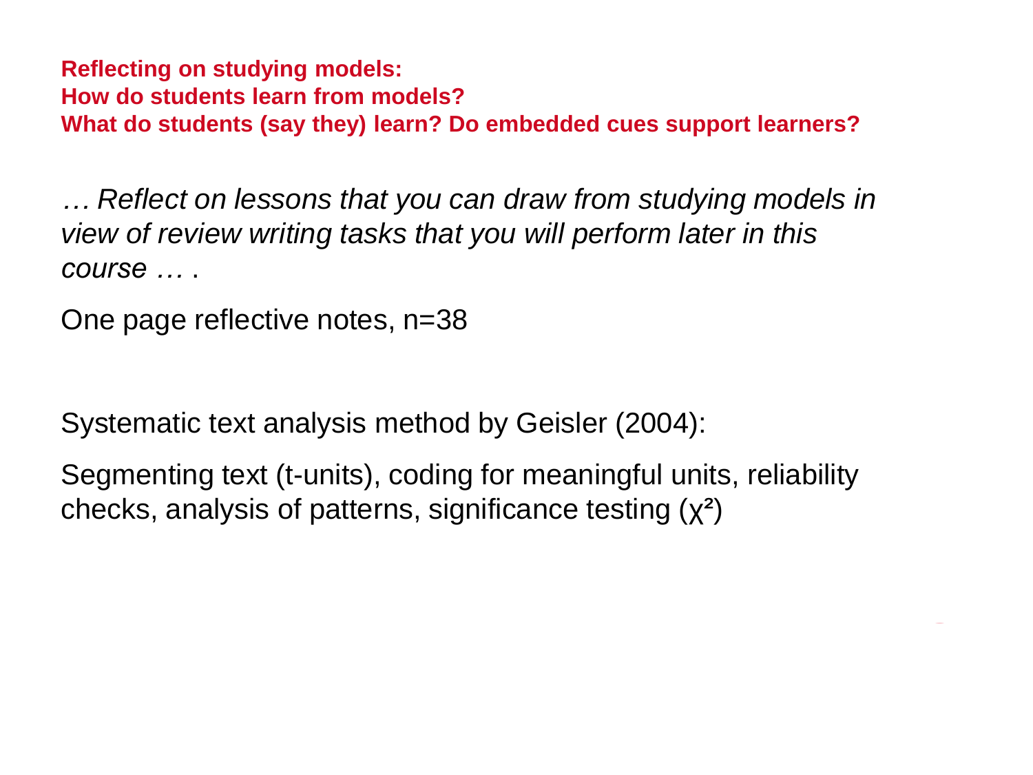**Reflecting on studying models: How do students learn from models? What do students (say they) learn? Do embedded cues support learners?**

*… Reflect on lessons that you can draw from studying models in view of review writing tasks that you will perform later in this course …* .

One page reflective notes, n=38

Systematic text analysis method by Geisler (2004):

Segmenting text (t-units), coding for meaningful units, reliability checks, analysis of patterns, significance testing (χ²)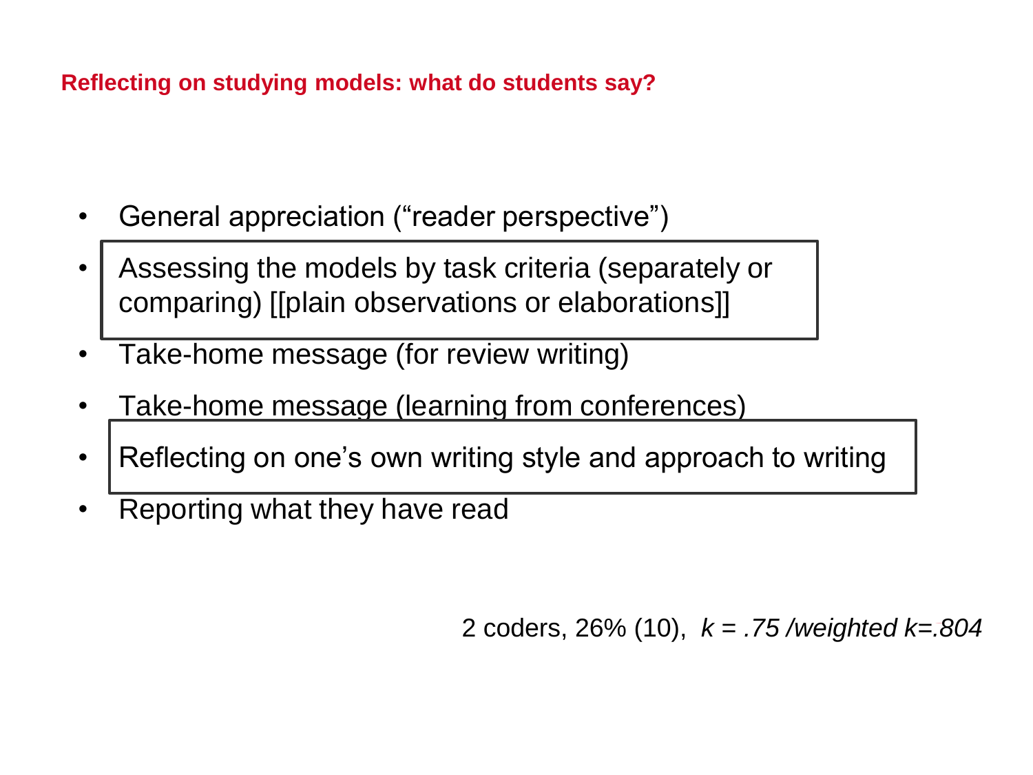## **Reflecting on studying models: what do students say?**

- General appreciation ("reader perspective")
- Assessing the models by task criteria (separately or comparing) [[plain observations or elaborations]]
- Take-home message (for review writing)
- Take-home message (learning from conferences)
- Reflecting on one's own writing style and approach to writing
- Reporting what they have read

2 coders, 26% (10), *k = .75 /weighted k=.804*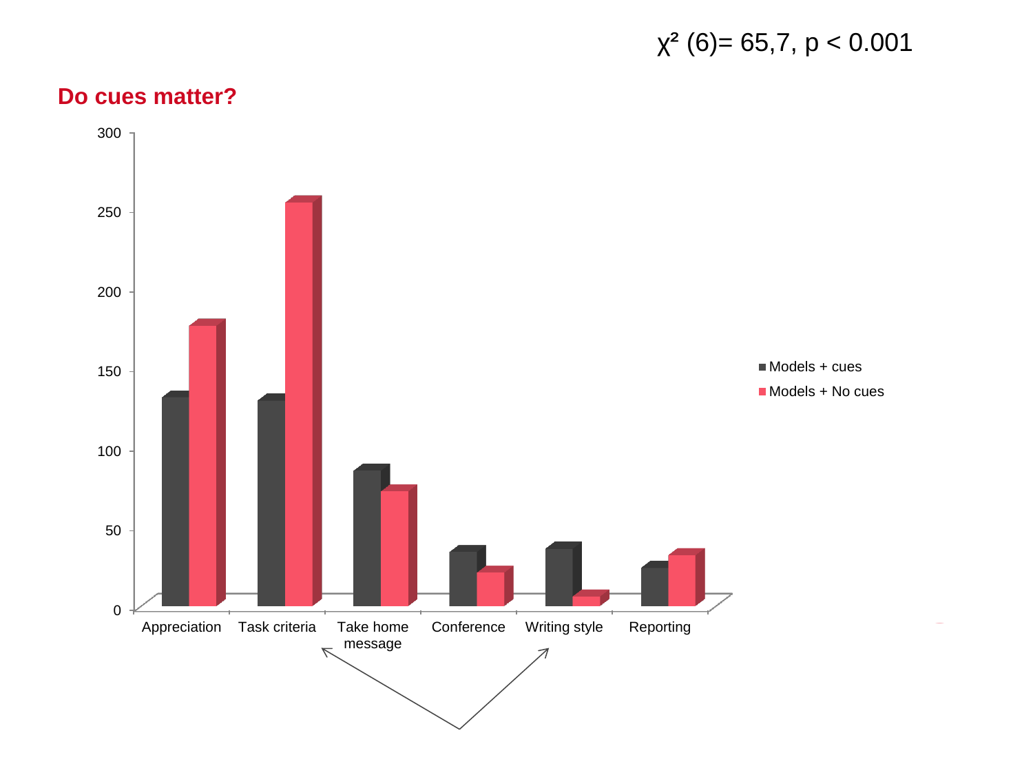## $\chi^2$  (6)= 65,7, p < 0.001

### **Do cues matter?**

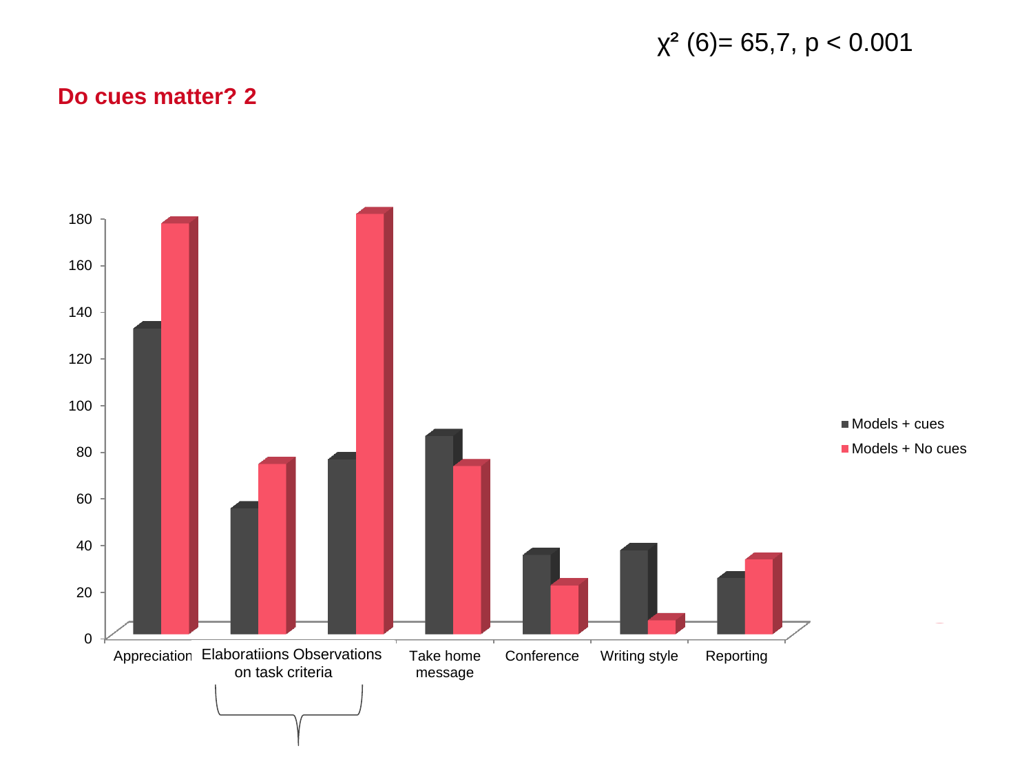## $\chi^2$  (6)= 65,7, p < 0.001

### **Do cues matter? 2**

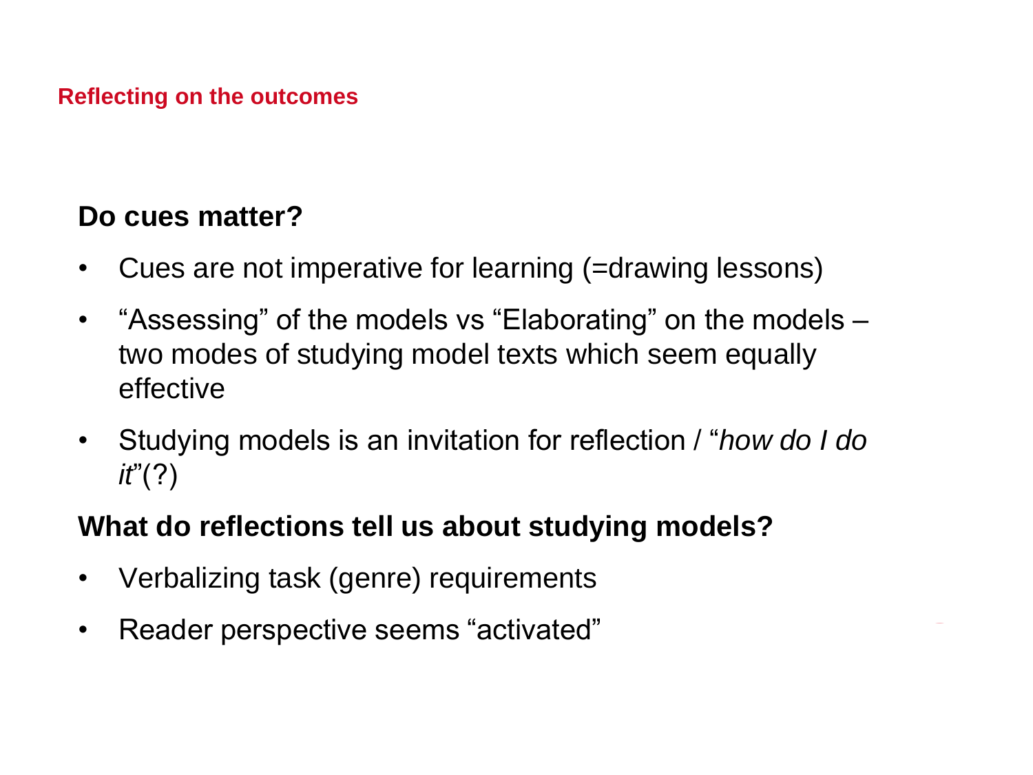### **Reflecting on the outcomes**

## **Do cues matter?**

- Cues are not imperative for learning (=drawing lessons)
- "Assessing" of the models vs "Elaborating" on the models two modes of studying model texts which seem equally effective
- Studying models is an invitation for reflection / "*how do I do it*"(?)

## **What do reflections tell us about studying models?**

- Verbalizing task (genre) requirements
- Reader perspective seems "activated"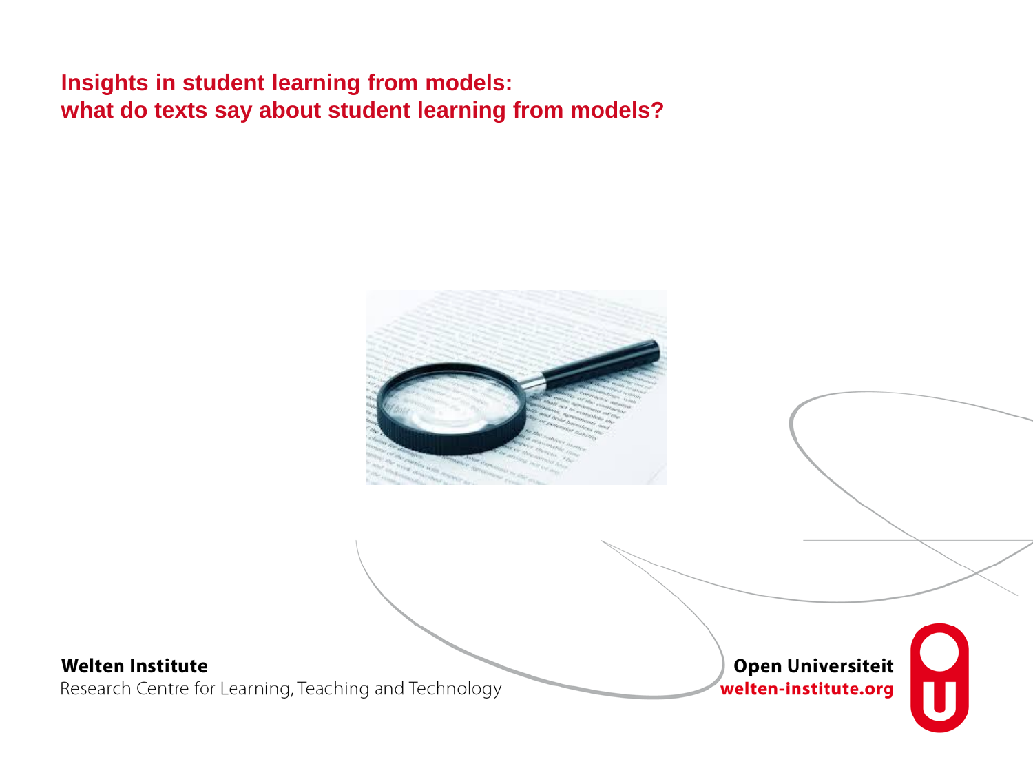## **Insights in student learning from models: what do texts say about student learning from models?**

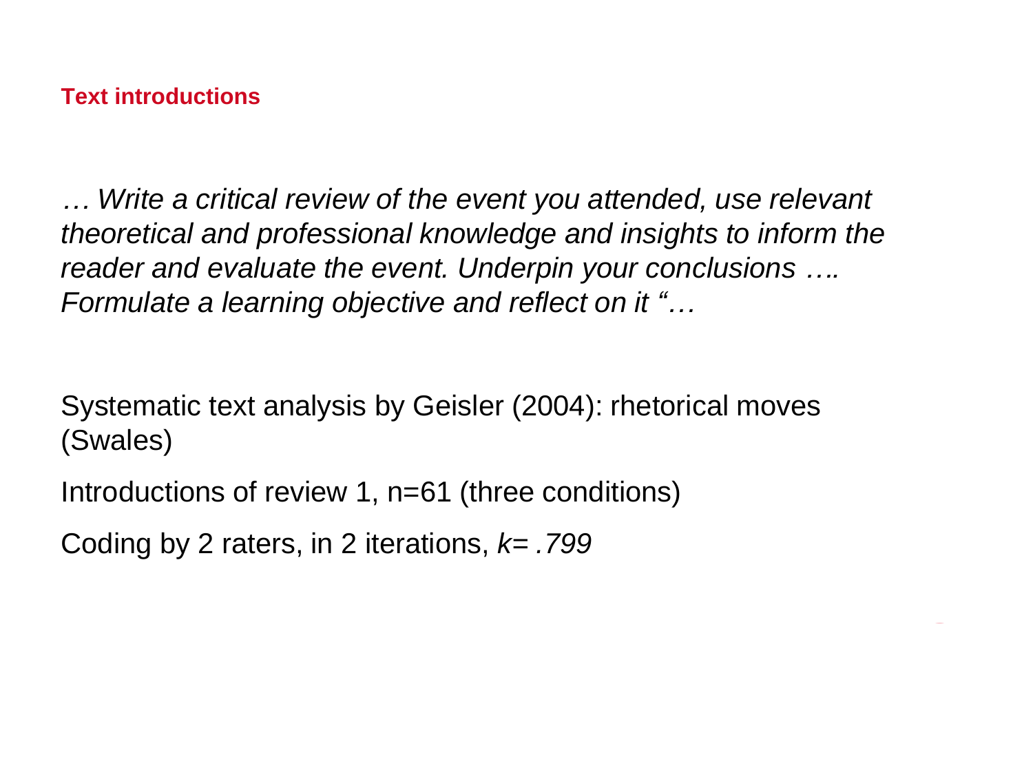### **Text introductions**

*… Write a critical review of the event you attended, use relevant theoretical and professional knowledge and insights to inform the reader and evaluate the event. Underpin your conclusions …. Formulate a learning objective and reflect on it "…* 

Systematic text analysis by Geisler (2004): rhetorical moves (Swales)

Introductions of review 1, n=61 (three conditions)

Coding by 2 raters, in 2 iterations, *k= .799*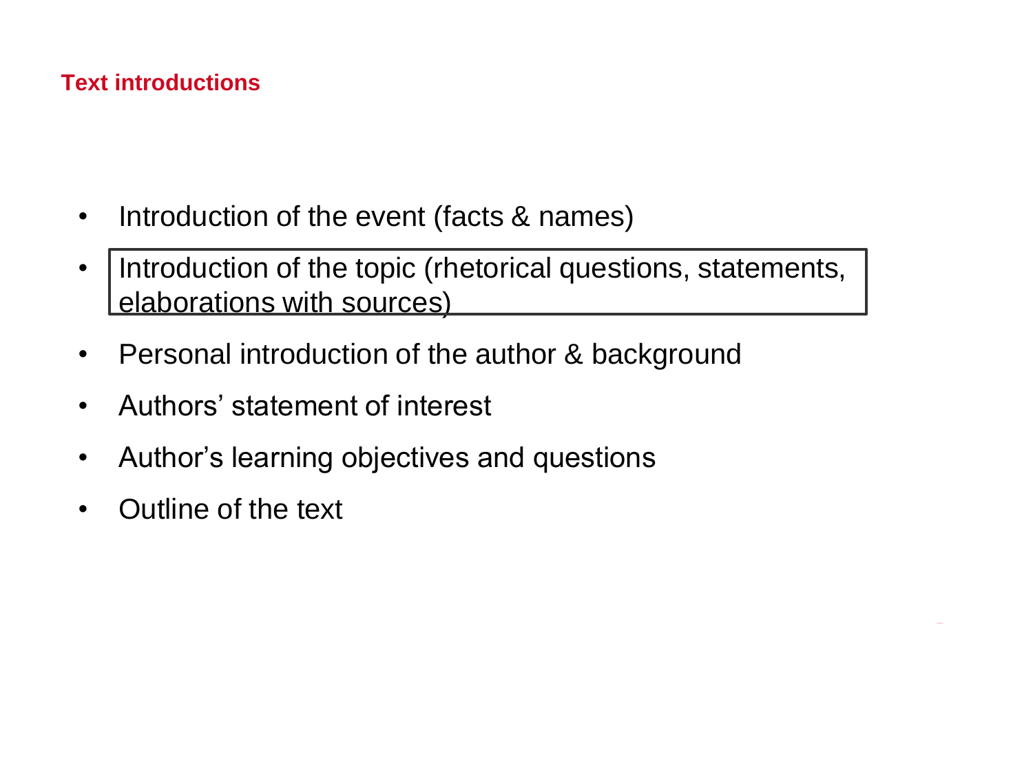## **Text introductions**

- Introduction of the event (facts & names)
- Introduction of the topic (rhetorical questions, statements, elaborations with sources)
- Personal introduction of the author & background
- Authors' statement of interest
- Author's learning objectives and questions
- Outline of the text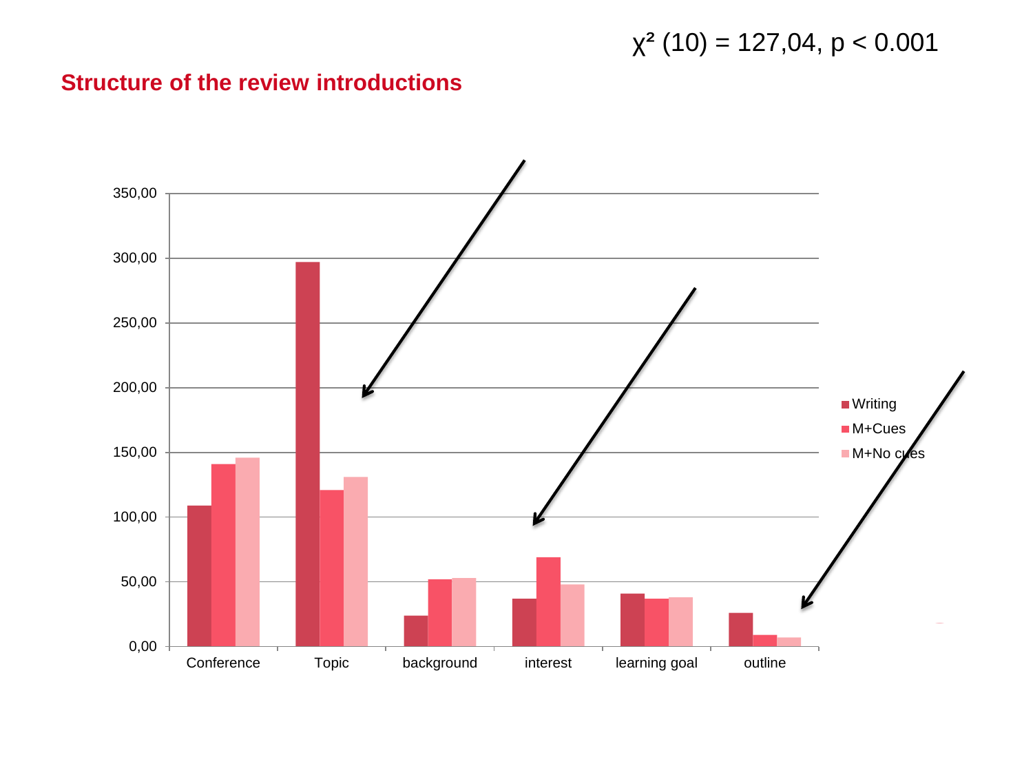## $\chi^2$  (10) = 127,04, p < 0.001

### **Structure of the review introductions**

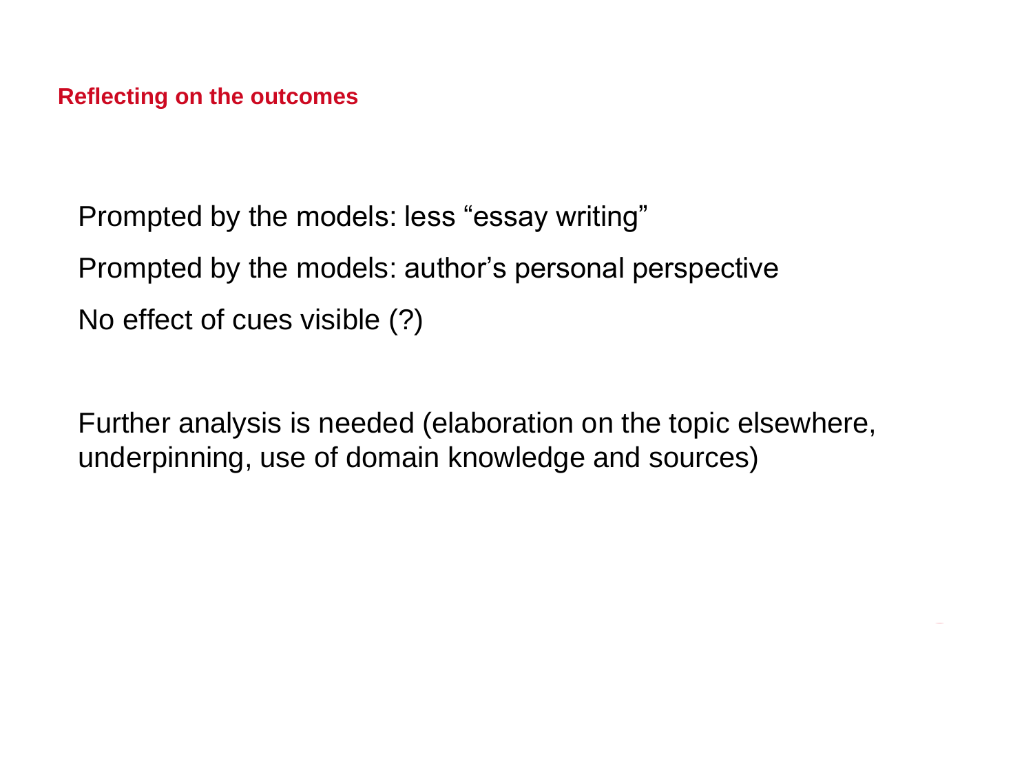**Reflecting on the outcomes**

Prompted by the models: less "essay writing" Prompted by the models: author's personal perspective No effect of cues visible (?)

Further analysis is needed (elaboration on the topic elsewhere, underpinning, use of domain knowledge and sources)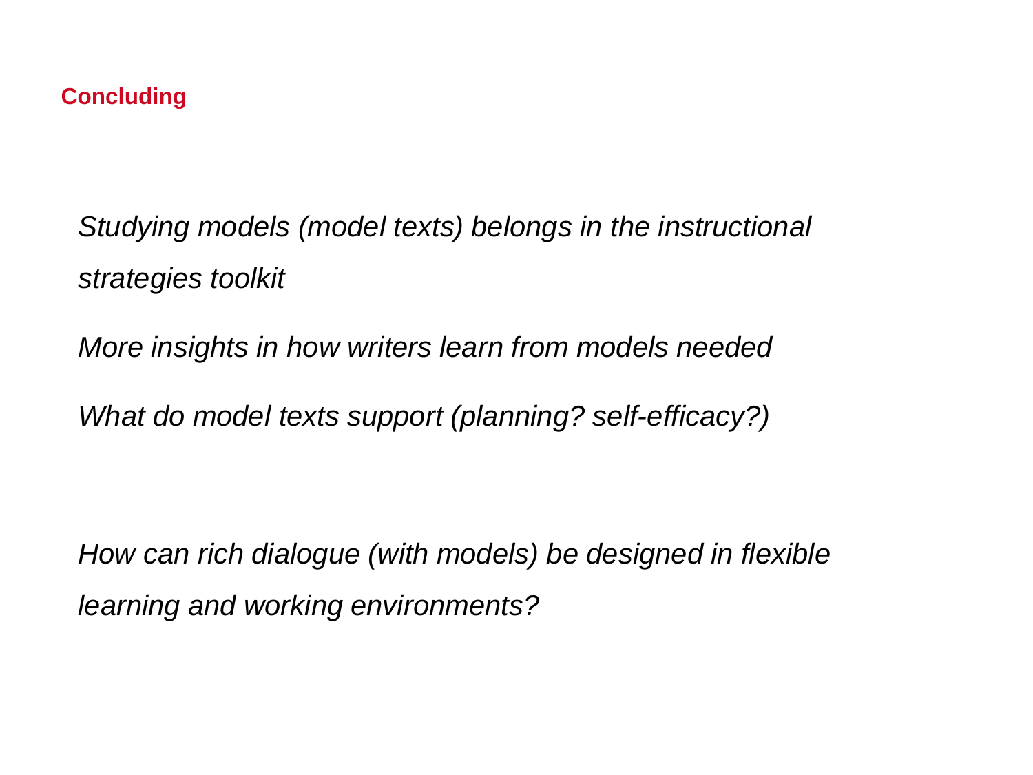*Studying models (model texts) belongs in the instructional strategies toolkit* 

*More insights in how writers learn from models needed*

*What do model texts support (planning? self-efficacy?)* 

*How can rich dialogue (with models) be designed in flexible learning and working environments?*